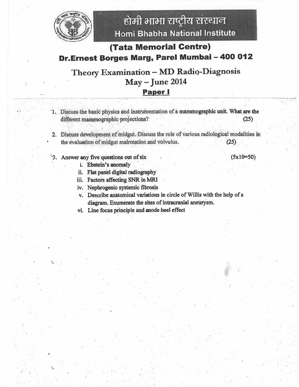

## (Tata Memorial Centre) Dr.Ernest Borges Marg, Parel Mumbai - 400 012

### Theory Examination - MD Radio-Diagnosis May - June 2014 **Paper I**

- 1. Discuss the basic physics and instrumentation of a mammographic unit. What are the different mammographic projections?  $(25)$
- 2. Discuss development of midgut. Discuss the role of various radiological modalities in the evaluation of midgut malrotation and volvulus.  $(25)$
- '3. Answer any five questions out of six
	- i. Ebstein's anomaly
	- ii. Flat panel digital radiography
	- iii. Factors affecting SNR in MRI
	- iv. Nephrogenic systemic fibrosis
	- v. Describe anatomical variations in circle of Willis with the help of a diagram. Enumerate the sites of intracranial aneurysm.
	- vi. Line focus principle and anode heel effect

 $(5x10=50)$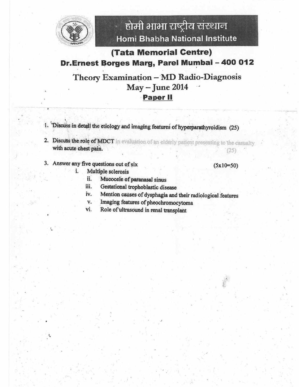

## (Tata Memorial Centre) Dr.Ernest Borges Marg, Parel Mumbai - 400 012

### Theory Examination - MD Radio-Diagnosis **May - June 2014 Paper II**

- 1. Discuss in detail the etiology and imaging features of hyperparathyroidism (25)
- 2. Discuss the role of MDCT in evaluation of an elderly patient presenting to the casualty with acute chest pain.  $(25)$
- 3. Answer any five questions out of six

i.

#### $(5x10=50)$

- Multiple sclerosis
	- ii. Mucocele of paranasal sinus
	- iii. Gestational trophoblastic disease
	- iv. Mention causes of dysphagia and their radiological features
	- Imaging features of pheochromocytoma  $V_{\star}$
	- Role of ultrasound in renal transplant vi.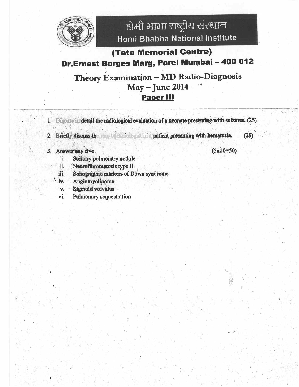

# **(Tata Memorial Centre)** Dr.Ernest Borges Marg, Parel Mumbai - 400 012

## Theory Examination - MD Radio-Diagnosis **May - June 2014 Paper III**

- 1. Discuss in detail the radiological evaluation of a neonate presenting with seizures. (25)
- 2. Briefly discuss the role of radiologist in a patient presenting with hematuria.
- 3. Answer any five.

 $(5x10=50)$ 

 $(25)$ 

- Solitary pulmonary nodule ï.
- Neurofibromatosis type II ii.
- Sonographic markers of Down syndrome iii.
- Angiomyolipoma iv.
- **Sigmoid volvulus** v.
- vi. **Pulmonary sequestration**